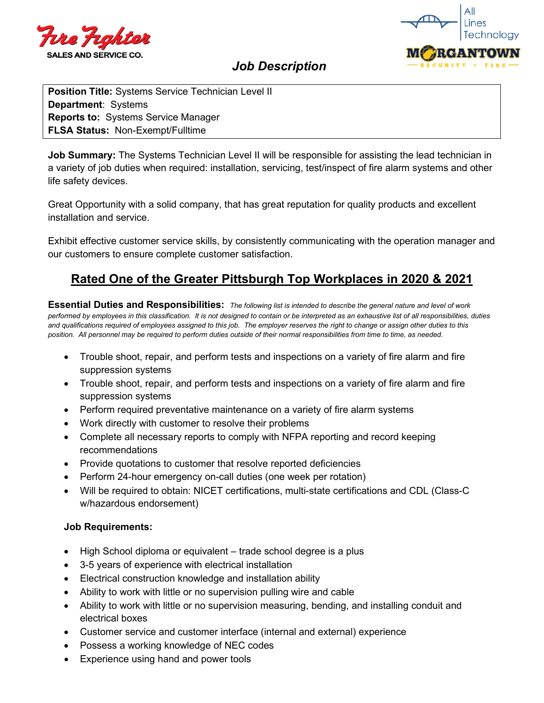



## *Job Description*

**Position Title:** Systems Service Technician Level II **Department**: Systems **Reports to:** Systems Service Manager **FLSA Status:** Non-Exempt/Fulltime

**Job Summary:** The Systems Technician Level II will be responsible for assisting the lead technician in a variety of job duties when required: installation, servicing, test/inspect of fire alarm systems and other life safety devices.

Great Opportunity with a solid company, that has great reputation for quality products and excellent installation and service.

Exhibit effective customer service skills, by consistently communicating with the operation manager and our customers to ensure complete customer satisfaction.

# **Rated One of the Greater Pittsburgh Top Workplaces in 2020 & 2021**

**Essential Duties and Responsibilities:** *The following list is intended to describe the general nature and level of work performed by employees in this classification. It is not designed to contain or be interpreted as an exhaustive list of all responsibilities, duties and qualifications required of employees assigned to this job. The employer reserves the right to change or assign other duties to this position. All personnel may be required to perform duties outside of their normal responsibilities from time to time, as needed.*

- Trouble shoot, repair, and perform tests and inspections on a variety of fire alarm and fire suppression systems
- Trouble shoot, repair, and perform tests and inspections on a variety of fire alarm and fire suppression systems
- Perform required preventative maintenance on a variety of fire alarm systems
- Work directly with customer to resolve their problems
- Complete all necessary reports to comply with NFPA reporting and record keeping recommendations
- Provide quotations to customer that resolve reported deficiencies
- Perform 24-hour emergency on-call duties (one week per rotation)
- Will be required to obtain: NICET certifications, multi-state certifications and CDL (Class-C w/hazardous endorsement)

### **Job Requirements:**

- High School diploma or equivalent trade school degree is a plus
- 3-5 years of experience with electrical installation
- Electrical construction knowledge and installation ability
- Ability to work with little or no supervision pulling wire and cable
- Ability to work with little or no supervision measuring, bending, and installing conduit and electrical boxes
- Customer service and customer interface (internal and external) experience
- Possess a working knowledge of NEC codes
- Experience using hand and power tools